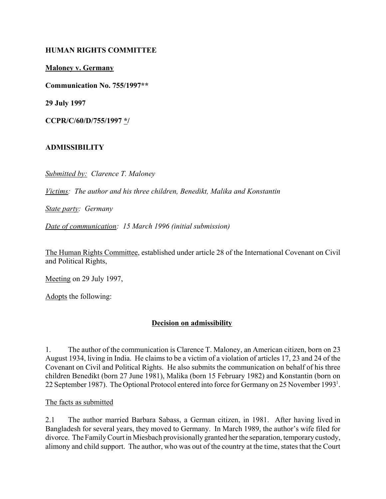## **HUMAN RIGHTS COMMITTEE**

**Maloney v. Germany**

**Communication No. 755/1997\*\***

**29 July 1997**

**CCPR/C/60/D/755/1997 \*/**

#### **ADMISSIBILITY**

*Submitted by: Clarence T. Maloney*

*Victims: The author and his three children, Benedikt, Malika and Konstantin*

*State party: Germany*

*Date of communication: 15 March 1996 (initial submission)*

The Human Rights Committee, established under article 28 of the International Covenant on Civil and Political Rights,

Meeting on 29 July 1997,

Adopts the following:

## **Decision on admissibility**

1. The author of the communication is Clarence T. Maloney, an American citizen, born on 23 August 1934, living in India. He claims to be a victim of a violation of articles 17, 23 and 24 of the Covenant on Civil and Political Rights. He also submits the communication on behalf of his three children Benedikt (born 27 June 1981), Malika (born 15 February 1982) and Konstantin (born on 22 September 1987). The Optional Protocol entered into force for Germany on 25 November 1993<sup>1</sup>.

#### The facts as submitted

2.1 The author married Barbara Sabass, a German citizen, in 1981. After having lived in Bangladesh for several years, they moved to Germany. In March 1989, the author's wife filed for divorce. The Family Court in Miesbach provisionally granted her the separation, temporary custody, alimony and child support. The author, who was out of the country at the time, states that the Court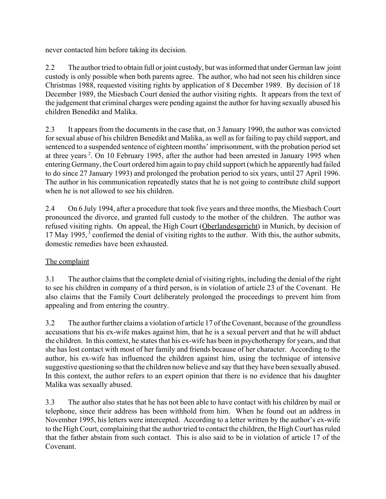never contacted him before taking its decision.

2.2 The author tried to obtain full or joint custody, but was informed that under German law joint custody is only possible when both parents agree. The author, who had not seen his children since Christmas 1988, requested visiting rights by application of 8 December 1989. By decision of 18 December 1989, the Miesbach Court denied the author visiting rights. It appears from the text of the judgement that criminal charges were pending against the author for having sexually abused his children Benedikt and Malika.

2.3 It appears from the documents in the case that, on 3 January 1990, the author was convicted for sexual abuse of his children Benedikt and Malika, as well as for failing to pay child support, and sentenced to a suspended sentence of eighteen months' imprisonment, with the probation period set at three years <sup>2</sup>. On 10 February 1995, after the author had been arrested in January 1995 when entering Germany, the Court ordered him again to pay child support (which he apparently had failed to do since 27 January 1993) and prolonged the probation period to six years, until 27 April 1996. The author in his communication repeatedly states that he is not going to contribute child support when he is not allowed to see his children.

2.4 On 6 July 1994, after a procedure that took five years and three months, the Miesbach Court pronounced the divorce, and granted full custody to the mother of the children. The author was refused visiting rights. On appeal, the High Court (Oberlandesgericht) in Munich, by decision of 17 May 1995, 3 confirmed the denial of visiting rights to the author. With this, the author submits, domestic remedies have been exhausted.

# The complaint

3.1 The author claims that the complete denial of visiting rights, including the denial of the right to see his children in company of a third person, is in violation of article 23 of the Covenant. He also claims that the Family Court deliberately prolonged the proceedings to prevent him from appealing and from entering the country.

3.2 The author further claims a violation of article 17 of the Covenant, because of the groundless accusations that his ex-wife makes against him, that he is a sexual pervert and that he will abduct the children. In this context, he states that his ex-wife has been in psychotherapy for years, and that she has lost contact with most of her family and friends because of her character. According to the author, his ex-wife has influenced the children against him, using the technique of intensive suggestive questioning so that the children now believe and say that they have been sexually abused. In this context, the author refers to an expert opinion that there is no evidence that his daughter Malika was sexually abused.

3.3 The author also states that he has not been able to have contact with his children by mail or telephone, since their address has been withhold from him. When he found out an address in November 1995, his letters were intercepted. According to a letter written by the author's ex-wife to the High Court, complaining that the author tried to contact the children, the High Court has ruled that the father abstain from such contact. This is also said to be in violation of article 17 of the Covenant.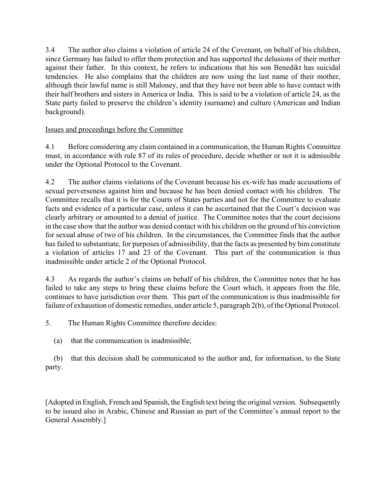3.4 The author also claims a violation of article 24 of the Covenant, on behalf of his children, since Germany has failed to offer them protection and has supported the delusions of their mother against their father. In this context, he refers to indications that his son Benedikt has suicidal tendencies. He also complains that the children are now using the last name of their mother, although their lawful name is still Maloney, and that they have not been able to have contact with their half brothers and sisters in America or India. This is said to be a violation of article 24, as the State party failed to preserve the children's identity (surname) and culture (American and Indian background).

## Issues and proceedings before the Committee

4.1 Before considering any claim contained in a communication, the Human Rights Committee must, in accordance with rule 87 of its rules of procedure, decide whether or not it is admissible under the Optional Protocol to the Covenant.

4.2 The author claims violations of the Covenant because his ex-wife has made accusations of sexual perverseness against him and because he has been denied contact with his children. The Committee recalls that it is for the Courts of States parties and not for the Committee to evaluate facts and evidence of a particular case, unless it can be ascertained that the Court's decision was clearly arbitrary or amounted to a denial of justice. The Committee notes that the court decisions in the case show that the author was denied contact with his children on the ground of his conviction for sexual abuse of two of his children. In the circumstances, the Committee finds that the author has failed to substantiate, for purposes of admissibility, that the facts as presented by him constitute a violation of articles 17 and 23 of the Covenant. This part of the communication is thus inadmissible under article 2 of the Optional Protocol.

4.3 As regards the author's claims on behalf of his children, the Committee notes that he has failed to take any steps to bring these claims before the Court which, it appears from the file, continues to have jurisdiction over them. This part of the communication is thus inadmissible for failure of exhaustion of domestic remedies, under article 5, paragraph 2(b), of the Optional Protocol.

5. The Human Rights Committee therefore decides:

(a) that the communication is inadmissible;

(b) that this decision shall be communicated to the author and, for information, to the State party.

[Adopted in English, French and Spanish, the English text being the original version. Subsequently to be issued also in Arabic, Chinese and Russian as part of the Committee's annual report to the General Assembly.]